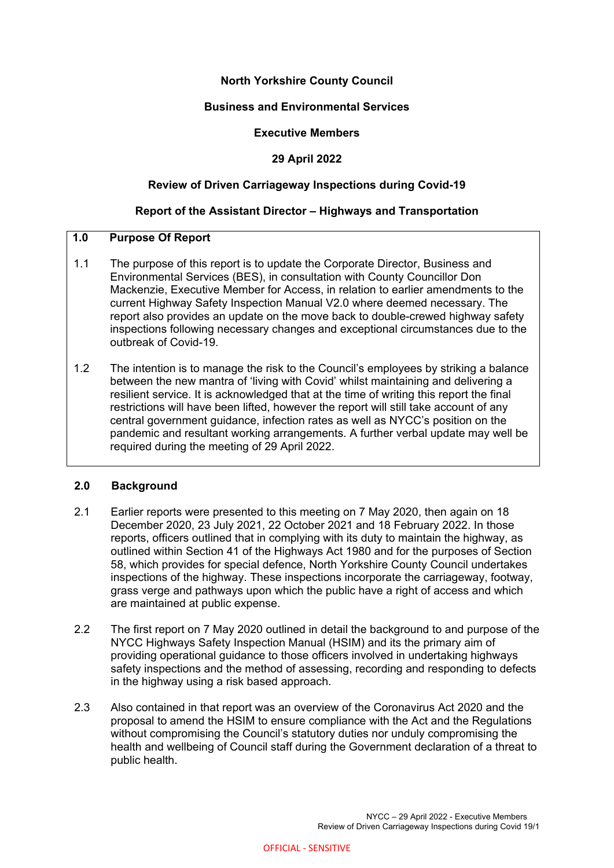## **North Yorkshire County Council**

## **Business and Environmental Services**

#### **Executive Members**

#### **29 April 2022**

#### **Review of Driven Carriageway Inspections during Covid-19**

#### **Report of the Assistant Director – Highways and Transportation**

# **1.0 Purpose Of Report**

- 1.1 The purpose of this report is to update the Corporate Director, Business and Environmental Services (BES), in consultation with County Councillor Don Mackenzie, Executive Member for Access, in relation to earlier amendments to the current Highway Safety Inspection Manual V2.0 where deemed necessary. The report also provides an update on the move back to double-crewed highway safety inspections following necessary changes and exceptional circumstances due to the outbreak of Covid-19.
- 1.2 The intention is to manage the risk to the Council's employees by striking a balance between the new mantra of 'living with Covid' whilst maintaining and delivering a resilient service. It is acknowledged that at the time of writing this report the final restrictions will have been lifted, however the report will still take account of any central government guidance, infection rates as well as NYCC's position on the pandemic and resultant working arrangements. A further verbal update may well be required during the meeting of 29 April 2022.

## **2.0 Background**

- 2.1 Earlier reports were presented to this meeting on 7 May 2020, then again on 18 December 2020, 23 July 2021, 22 October 2021 and 18 February 2022. In those reports, officers outlined that in complying with its duty to maintain the highway, as outlined within Section 41 of the Highways Act 1980 and for the purposes of Section 58, which provides for special defence, North Yorkshire County Council undertakes inspections of the highway. These inspections incorporate the carriageway, footway, grass verge and pathways upon which the public have a right of access and which are maintained at public expense.
- 2.2 The first report on 7 May 2020 outlined in detail the background to and purpose of the NYCC Highways Safety Inspection Manual (HSIM) and its the primary aim of providing operational guidance to those officers involved in undertaking highways safety inspections and the method of assessing, recording and responding to defects in the highway using a risk based approach.
- 2.3 Also contained in that report was an overview of the Coronavirus Act 2020 and the proposal to amend the HSIM to ensure compliance with the Act and the Regulations without compromising the Council's statutory duties nor unduly compromising the health and wellbeing of Council staff during the Government declaration of a threat to public health.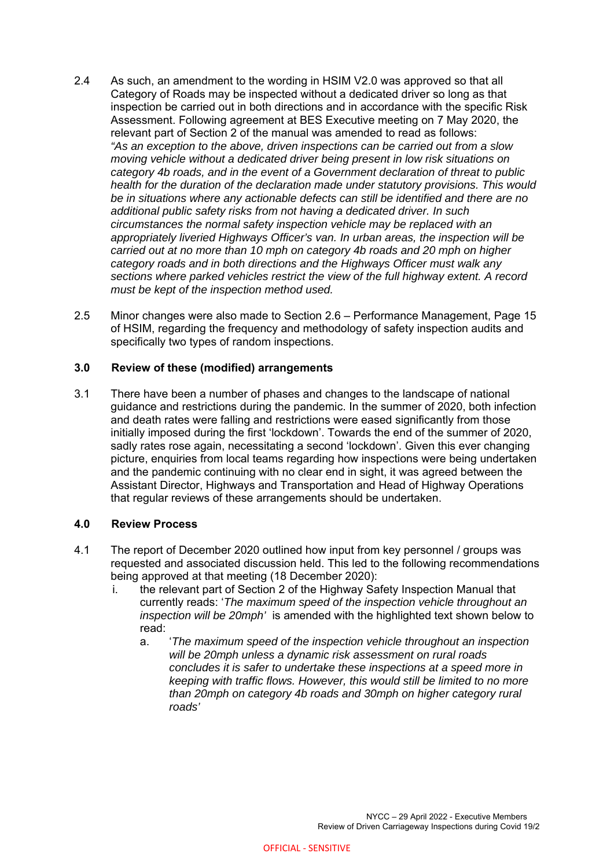- 2.4 As such, an amendment to the wording in HSIM V2.0 was approved so that all Category of Roads may be inspected without a dedicated driver so long as that inspection be carried out in both directions and in accordance with the specific Risk Assessment. Following agreement at BES Executive meeting on 7 May 2020, the relevant part of Section 2 of the manual was amended to read as follows: *"As an exception to the above, driven inspections can be carried out from a slow moving vehicle without a dedicated driver being present in low risk situations on category 4b roads, and in the event of a Government declaration of threat to public health for the duration of the declaration made under statutory provisions. This would be in situations where any actionable defects can still be identified and there are no additional public safety risks from not having a dedicated driver. In such circumstances the normal safety inspection vehicle may be replaced with an appropriately liveried Highways Officer's van. In urban areas, the inspection will be carried out at no more than 10 mph on category 4b roads and 20 mph on higher category roads and in both directions and the Highways Officer must walk any sections where parked vehicles restrict the view of the full highway extent. A record must be kept of the inspection method used.*
- 2.5 Minor changes were also made to Section 2.6 Performance Management, Page 15 of HSIM, regarding the frequency and methodology of safety inspection audits and specifically two types of random inspections.

## **3.0 Review of these (modified) arrangements**

3.1 There have been a number of phases and changes to the landscape of national guidance and restrictions during the pandemic. In the summer of 2020, both infection and death rates were falling and restrictions were eased significantly from those initially imposed during the first 'lockdown'. Towards the end of the summer of 2020, sadly rates rose again, necessitating a second 'lockdown'. Given this ever changing picture, enquiries from local teams regarding how inspections were being undertaken and the pandemic continuing with no clear end in sight, it was agreed between the Assistant Director, Highways and Transportation and Head of Highway Operations that regular reviews of these arrangements should be undertaken.

## **4.0 Review Process**

- 4.1 The report of December 2020 outlined how input from key personnel / groups was requested and associated discussion held. This led to the following recommendations being approved at that meeting (18 December 2020):
	- i. the relevant part of Section 2 of the Highway Safety Inspection Manual that currently reads: '*The maximum speed of the inspection vehicle throughout an inspection will be 20mph'* is amended with the highlighted text shown below to read:
		- a. '*The maximum speed of the inspection vehicle throughout an inspection will be 20mph unless a dynamic risk assessment on rural roads concludes it is safer to undertake these inspections at a speed more in keeping with traffic flows. However, this would still be limited to no more than 20mph on category 4b roads and 30mph on higher category rural roads'*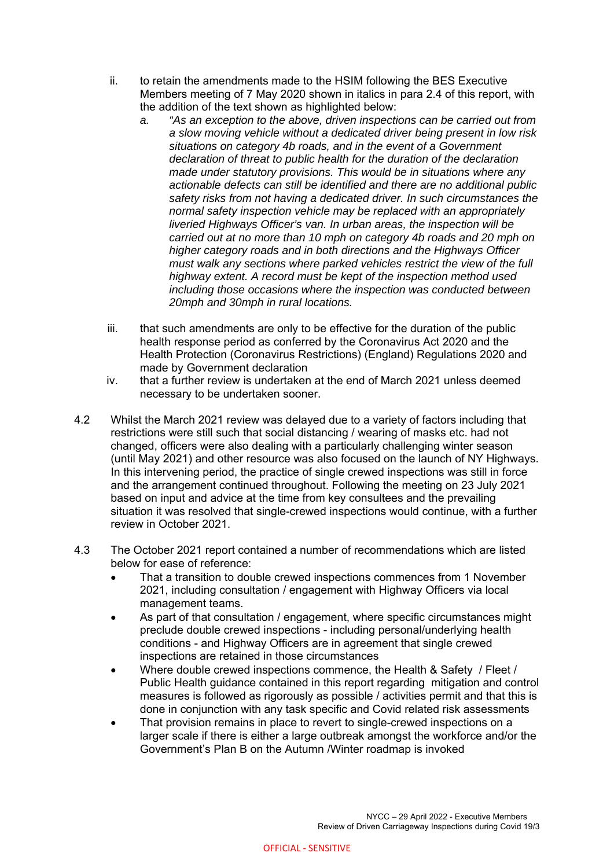- ii. to retain the amendments made to the HSIM following the BES Executive Members meeting of 7 May 2020 shown in italics in para 2.4 of this report, with the addition of the text shown as highlighted below:
	- *a. "As an exception to the above, driven inspections can be carried out from a slow moving vehicle without a dedicated driver being present in low risk situations on category 4b roads, and in the event of a Government declaration of threat to public health for the duration of the declaration made under statutory provisions. This would be in situations where any actionable defects can still be identified and there are no additional public safety risks from not having a dedicated driver. In such circumstances the normal safety inspection vehicle may be replaced with an appropriately liveried Highways Officer's van. In urban areas, the inspection will be carried out at no more than 10 mph on category 4b roads and 20 mph on higher category roads and in both directions and the Highways Officer must walk any sections where parked vehicles restrict the view of the full highway extent. A record must be kept of the inspection method used including those occasions where the inspection was conducted between 20mph and 30mph in rural locations.*
- iii. that such amendments are only to be effective for the duration of the public health response period as conferred by the Coronavirus Act 2020 and the Health Protection (Coronavirus Restrictions) (England) Regulations 2020 and made by Government declaration
- iv. that a further review is undertaken at the end of March 2021 unless deemed necessary to be undertaken sooner.
- 4.2 Whilst the March 2021 review was delayed due to a variety of factors including that restrictions were still such that social distancing / wearing of masks etc. had not changed, officers were also dealing with a particularly challenging winter season (until May 2021) and other resource was also focused on the launch of NY Highways. In this intervening period, the practice of single crewed inspections was still in force and the arrangement continued throughout. Following the meeting on 23 July 2021 based on input and advice at the time from key consultees and the prevailing situation it was resolved that single-crewed inspections would continue, with a further review in October 2021.
- 4.3 The October 2021 report contained a number of recommendations which are listed below for ease of reference:
	- That a transition to double crewed inspections commences from 1 November 2021, including consultation / engagement with Highway Officers via local management teams.
	- As part of that consultation / engagement, where specific circumstances might preclude double crewed inspections - including personal/underlying health conditions - and Highway Officers are in agreement that single crewed inspections are retained in those circumstances
	- Where double crewed inspections commence, the Health & Safety / Fleet / Public Health guidance contained in this report regarding mitigation and control measures is followed as rigorously as possible / activities permit and that this is done in conjunction with any task specific and Covid related risk assessments
	- That provision remains in place to revert to single-crewed inspections on a larger scale if there is either a large outbreak amongst the workforce and/or the Government's Plan B on the Autumn /Winter roadmap is invoked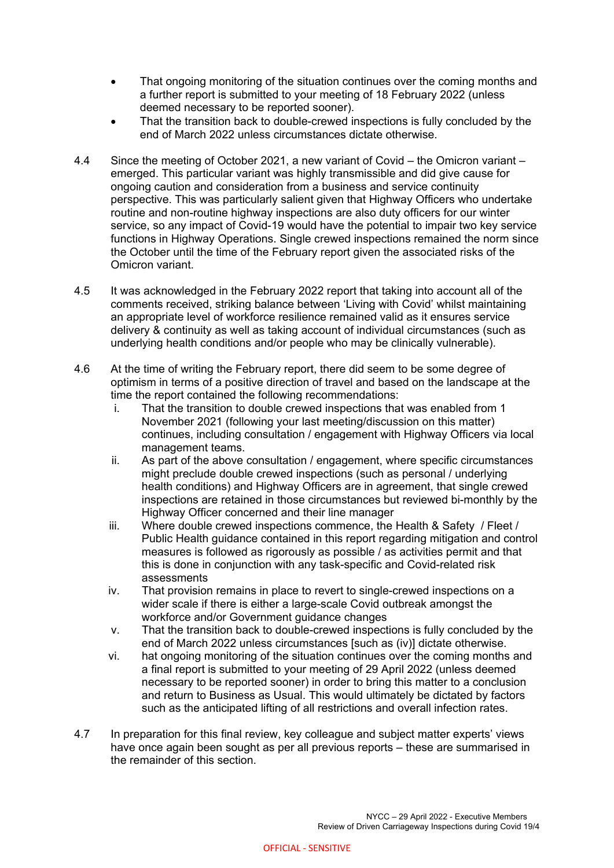- That ongoing monitoring of the situation continues over the coming months and a further report is submitted to your meeting of 18 February 2022 (unless deemed necessary to be reported sooner).
- That the transition back to double-crewed inspections is fully concluded by the end of March 2022 unless circumstances dictate otherwise.
- 4.4 Since the meeting of October 2021, a new variant of Covid the Omicron variant emerged. This particular variant was highly transmissible and did give cause for ongoing caution and consideration from a business and service continuity perspective. This was particularly salient given that Highway Officers who undertake routine and non-routine highway inspections are also duty officers for our winter service, so any impact of Covid-19 would have the potential to impair two key service functions in Highway Operations. Single crewed inspections remained the norm since the October until the time of the February report given the associated risks of the Omicron variant.
- 4.5 It was acknowledged in the February 2022 report that taking into account all of the comments received, striking balance between 'Living with Covid' whilst maintaining an appropriate level of workforce resilience remained valid as it ensures service delivery & continuity as well as taking account of individual circumstances (such as underlying health conditions and/or people who may be clinically vulnerable).
- 4.6 At the time of writing the February report, there did seem to be some degree of optimism in terms of a positive direction of travel and based on the landscape at the time the report contained the following recommendations:
	- i. That the transition to double crewed inspections that was enabled from 1 November 2021 (following your last meeting/discussion on this matter) continues, including consultation / engagement with Highway Officers via local management teams.
	- ii. As part of the above consultation / engagement, where specific circumstances might preclude double crewed inspections (such as personal / underlying health conditions) and Highway Officers are in agreement, that single crewed inspections are retained in those circumstances but reviewed bi-monthly by the Highway Officer concerned and their line manager
	- iii. Where double crewed inspections commence, the Health & Safety / Fleet / Public Health guidance contained in this report regarding mitigation and control measures is followed as rigorously as possible / as activities permit and that this is done in conjunction with any task-specific and Covid-related risk assessments
	- iv. That provision remains in place to revert to single-crewed inspections on a wider scale if there is either a large-scale Covid outbreak amongst the workforce and/or Government quidance changes
	- v. That the transition back to double-crewed inspections is fully concluded by the end of March 2022 unless circumstances [such as (iv)] dictate otherwise.
	- vi. hat ongoing monitoring of the situation continues over the coming months and a final report is submitted to your meeting of 29 April 2022 (unless deemed necessary to be reported sooner) in order to bring this matter to a conclusion and return to Business as Usual. This would ultimately be dictated by factors such as the anticipated lifting of all restrictions and overall infection rates.
- 4.7 In preparation for this final review, key colleague and subject matter experts' views have once again been sought as per all previous reports – these are summarised in the remainder of this section.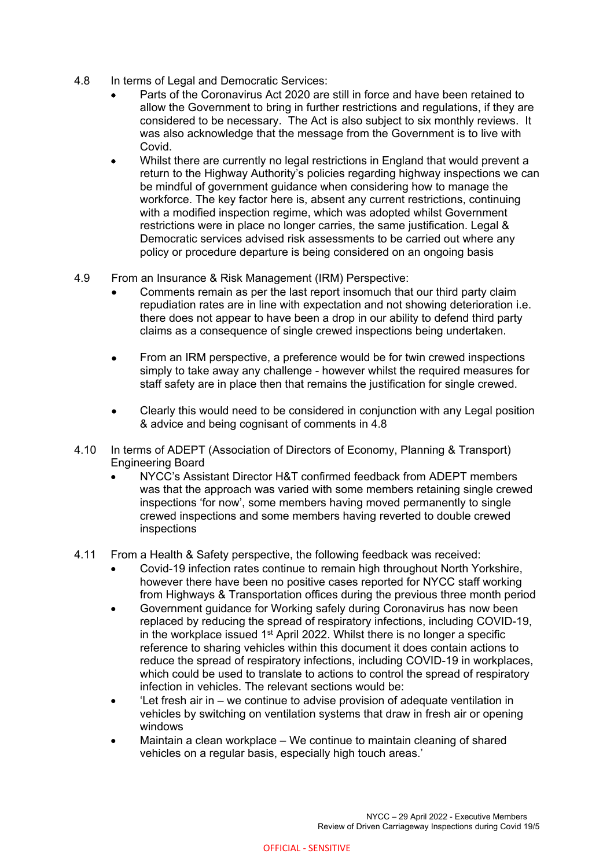- 4.8 In terms of Legal and Democratic Services:
	- Parts of the Coronavirus Act 2020 are still in force and have been retained to allow the Government to bring in further restrictions and regulations, if they are considered to be necessary. The Act is also subject to six monthly reviews. It was also acknowledge that the message from the Government is to live with Covid.
	- Whilst there are currently no legal restrictions in England that would prevent a return to the Highway Authority's policies regarding highway inspections we can be mindful of government guidance when considering how to manage the workforce. The key factor here is, absent any current restrictions, continuing with a modified inspection regime, which was adopted whilst Government restrictions were in place no longer carries, the same justification. Legal & Democratic services advised risk assessments to be carried out where any policy or procedure departure is being considered on an ongoing basis
- 4.9 From an Insurance & Risk Management (IRM) Perspective:
	- Comments remain as per the last report insomuch that our third party claim repudiation rates are in line with expectation and not showing deterioration i.e. there does not appear to have been a drop in our ability to defend third party claims as a consequence of single crewed inspections being undertaken.
	- From an IRM perspective, a preference would be for twin crewed inspections simply to take away any challenge - however whilst the required measures for staff safety are in place then that remains the justification for single crewed.
	- Clearly this would need to be considered in conjunction with any Legal position & advice and being cognisant of comments in 4.8
- 4.10 In terms of ADEPT (Association of Directors of Economy, Planning & Transport) Engineering Board
	- NYCC's Assistant Director H&T confirmed feedback from ADEPT members was that the approach was varied with some members retaining single crewed inspections 'for now', some members having moved permanently to single crewed inspections and some members having reverted to double crewed inspections
- 4.11 From a Health & Safety perspective, the following feedback was received:
	- Covid-19 infection rates continue to remain high throughout North Yorkshire, however there have been no positive cases reported for NYCC staff working from Highways & Transportation offices during the previous three month period
	- Government guidance for Working safely during Coronavirus has now been replaced by reducing the spread of respiratory infections, including COVID-19, in the workplace issued  $1<sup>st</sup>$  April 2022. Whilst there is no longer a specific reference to sharing vehicles within this document it does contain actions to reduce the spread of respiratory infections, including COVID-19 in workplaces, which could be used to translate to actions to control the spread of respiratory infection in vehicles. The relevant sections would be:
	- 'Let fresh air in we continue to advise provision of adequate ventilation in vehicles by switching on ventilation systems that draw in fresh air or opening windows
	- Maintain a clean workplace We continue to maintain cleaning of shared vehicles on a regular basis, especially high touch areas.'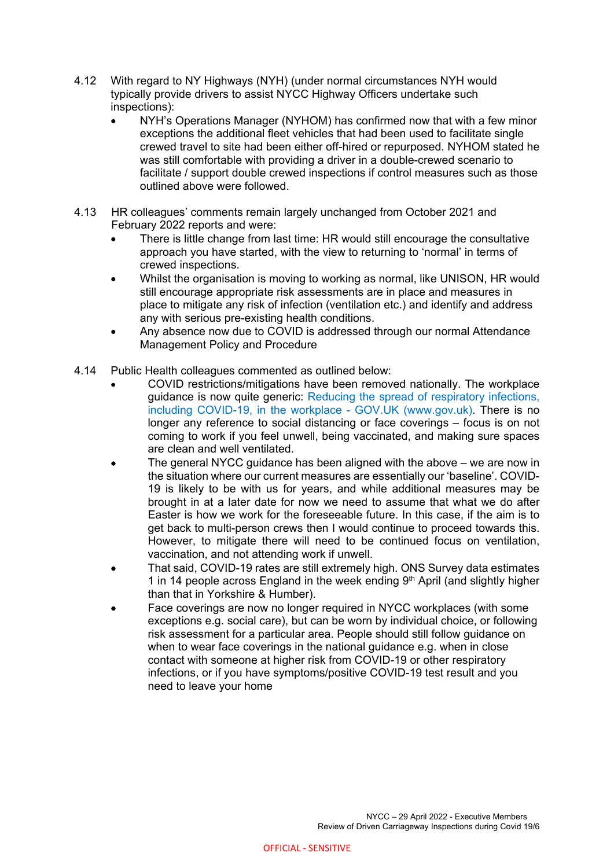- 4.12 With regard to NY Highways (NYH) (under normal circumstances NYH would typically provide drivers to assist NYCC Highway Officers undertake such inspections):
	- NYH's Operations Manager (NYHOM) has confirmed now that with a few minor exceptions the additional fleet vehicles that had been used to facilitate single crewed travel to site had been either off-hired or repurposed. NYHOM stated he was still comfortable with providing a driver in a double-crewed scenario to facilitate / support double crewed inspections if control measures such as those outlined above were followed.
- 4.13 HR colleagues' comments remain largely unchanged from October 2021 and February 2022 reports and were:
	- There is little change from last time: HR would still encourage the consultative approach you have started, with the view to returning to 'normal' in terms of crewed inspections.
	- Whilst the organisation is moving to working as normal, like UNISON, HR would still encourage appropriate risk assessments are in place and measures in place to mitigate any risk of infection (ventilation etc.) and identify and address any with serious pre-existing health conditions.
	- Any absence now due to COVID is addressed through our normal Attendance Management Policy and Procedure
- 4.14 Public Health colleagues commented as outlined below:
	- COVID restrictions/mitigations have been removed nationally. The workplace guidance is now quite generic: Reducing the spread of respiratory infections, including COVID-19, in the workplace - GOV.UK (www.gov.uk). There is no longer any reference to social distancing or face coverings – focus is on not coming to work if you feel unwell, being vaccinated, and making sure spaces are clean and well ventilated.
	- The general NYCC guidance has been aligned with the above we are now in the situation where our current measures are essentially our 'baseline'. COVID-19 is likely to be with us for years, and while additional measures may be brought in at a later date for now we need to assume that what we do after Easter is how we work for the foreseeable future. In this case, if the aim is to get back to multi-person crews then I would continue to proceed towards this. However, to mitigate there will need to be continued focus on ventilation, vaccination, and not attending work if unwell.
	- That said, COVID-19 rates are still extremely high. ONS Survey data estimates 1 in 14 people across England in the week ending  $9<sup>th</sup>$  April (and slightly higher than that in Yorkshire & Humber).
	- Face coverings are now no longer required in NYCC workplaces (with some exceptions e.g. social care), but can be worn by individual choice, or following risk assessment for a particular area. People should still follow guidance on when to wear face coverings in the national guidance e.g. when in close contact with someone at higher risk from COVID-19 or other respiratory infections, or if you have symptoms/positive COVID-19 test result and you need to leave your home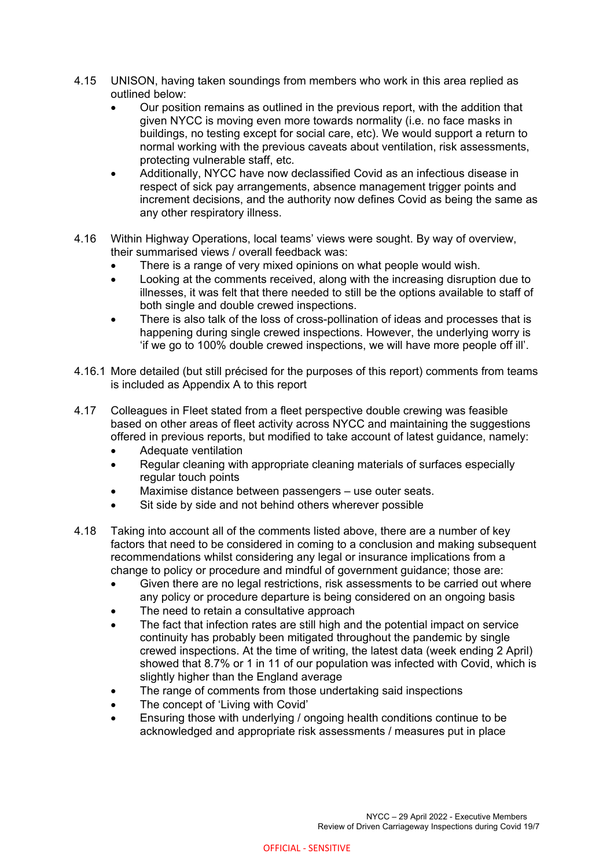- 4.15 UNISON, having taken soundings from members who work in this area replied as outlined below:
	- Our position remains as outlined in the previous report, with the addition that given NYCC is moving even more towards normality (i.e. no face masks in buildings, no testing except for social care, etc). We would support a return to normal working with the previous caveats about ventilation, risk assessments, protecting vulnerable staff, etc.
	- Additionally, NYCC have now declassified Covid as an infectious disease in respect of sick pay arrangements, absence management trigger points and increment decisions, and the authority now defines Covid as being the same as any other respiratory illness.
- 4.16 Within Highway Operations, local teams' views were sought. By way of overview, their summarised views / overall feedback was:
	- There is a range of very mixed opinions on what people would wish.
	- Looking at the comments received, along with the increasing disruption due to illnesses, it was felt that there needed to still be the options available to staff of both single and double crewed inspections.
	- There is also talk of the loss of cross-pollination of ideas and processes that is happening during single crewed inspections. However, the underlying worry is 'if we go to 100% double crewed inspections, we will have more people off ill'.
- 4.16.1 More detailed (but still précised for the purposes of this report) comments from teams is included as Appendix A to this report
- 4.17 Colleagues in Fleet stated from a fleet perspective double crewing was feasible based on other areas of fleet activity across NYCC and maintaining the suggestions offered in previous reports, but modified to take account of latest guidance, namely:
	- Adequate ventilation
	- Regular cleaning with appropriate cleaning materials of surfaces especially regular touch points
	- Maximise distance between passengers use outer seats.
	- Sit side by side and not behind others wherever possible
- 4.18 Taking into account all of the comments listed above, there are a number of key factors that need to be considered in coming to a conclusion and making subsequent recommendations whilst considering any legal or insurance implications from a change to policy or procedure and mindful of government guidance; those are:
	- Given there are no legal restrictions, risk assessments to be carried out where any policy or procedure departure is being considered on an ongoing basis
	- The need to retain a consultative approach
	- The fact that infection rates are still high and the potential impact on service continuity has probably been mitigated throughout the pandemic by single crewed inspections. At the time of writing, the latest data (week ending 2 April) showed that 8.7% or 1 in 11 of our population was infected with Covid, which is slightly higher than the England average
	- The range of comments from those undertaking said inspections
	- The concept of 'Living with Covid'
	- Ensuring those with underlying / ongoing health conditions continue to be acknowledged and appropriate risk assessments / measures put in place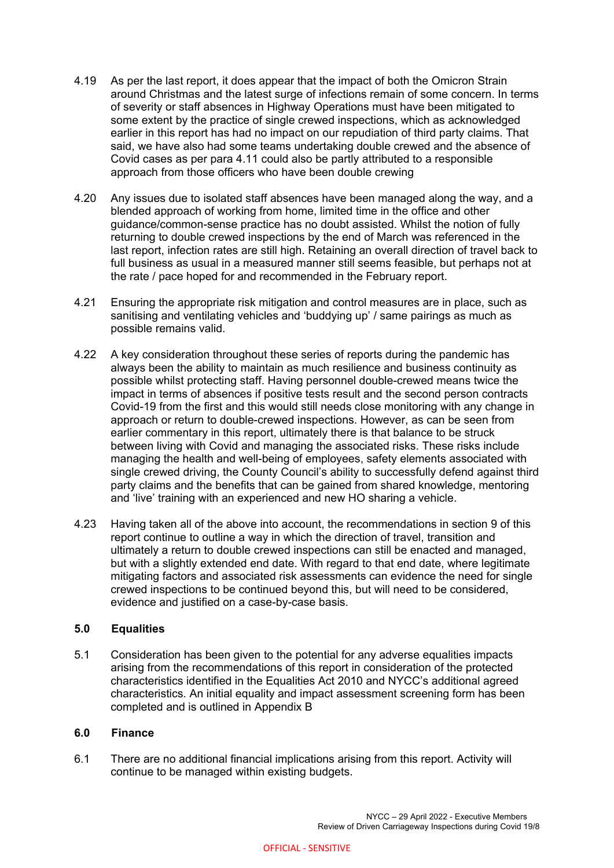- 4.19 As per the last report, it does appear that the impact of both the Omicron Strain around Christmas and the latest surge of infections remain of some concern. In terms of severity or staff absences in Highway Operations must have been mitigated to some extent by the practice of single crewed inspections, which as acknowledged earlier in this report has had no impact on our repudiation of third party claims. That said, we have also had some teams undertaking double crewed and the absence of Covid cases as per para 4.11 could also be partly attributed to a responsible approach from those officers who have been double crewing
- 4.20 Any issues due to isolated staff absences have been managed along the way, and a blended approach of working from home, limited time in the office and other guidance/common-sense practice has no doubt assisted. Whilst the notion of fully returning to double crewed inspections by the end of March was referenced in the last report, infection rates are still high. Retaining an overall direction of travel back to full business as usual in a measured manner still seems feasible, but perhaps not at the rate / pace hoped for and recommended in the February report.
- 4.21 Ensuring the appropriate risk mitigation and control measures are in place, such as sanitising and ventilating vehicles and 'buddying up' / same pairings as much as possible remains valid.
- 4.22 A key consideration throughout these series of reports during the pandemic has always been the ability to maintain as much resilience and business continuity as possible whilst protecting staff. Having personnel double-crewed means twice the impact in terms of absences if positive tests result and the second person contracts Covid-19 from the first and this would still needs close monitoring with any change in approach or return to double-crewed inspections. However, as can be seen from earlier commentary in this report, ultimately there is that balance to be struck between living with Covid and managing the associated risks. These risks include managing the health and well-being of employees, safety elements associated with single crewed driving, the County Council's ability to successfully defend against third party claims and the benefits that can be gained from shared knowledge, mentoring and 'live' training with an experienced and new HO sharing a vehicle.
- 4.23 Having taken all of the above into account, the recommendations in section 9 of this report continue to outline a way in which the direction of travel, transition and ultimately a return to double crewed inspections can still be enacted and managed, but with a slightly extended end date. With regard to that end date, where legitimate mitigating factors and associated risk assessments can evidence the need for single crewed inspections to be continued beyond this, but will need to be considered, evidence and justified on a case-by-case basis.

#### **5.0 Equalities**

5.1 Consideration has been given to the potential for any adverse equalities impacts arising from the recommendations of this report in consideration of the protected characteristics identified in the Equalities Act 2010 and NYCC's additional agreed characteristics. An initial equality and impact assessment screening form has been completed and is outlined in Appendix B

#### **6.0 Finance**

6.1 There are no additional financial implications arising from this report. Activity will continue to be managed within existing budgets.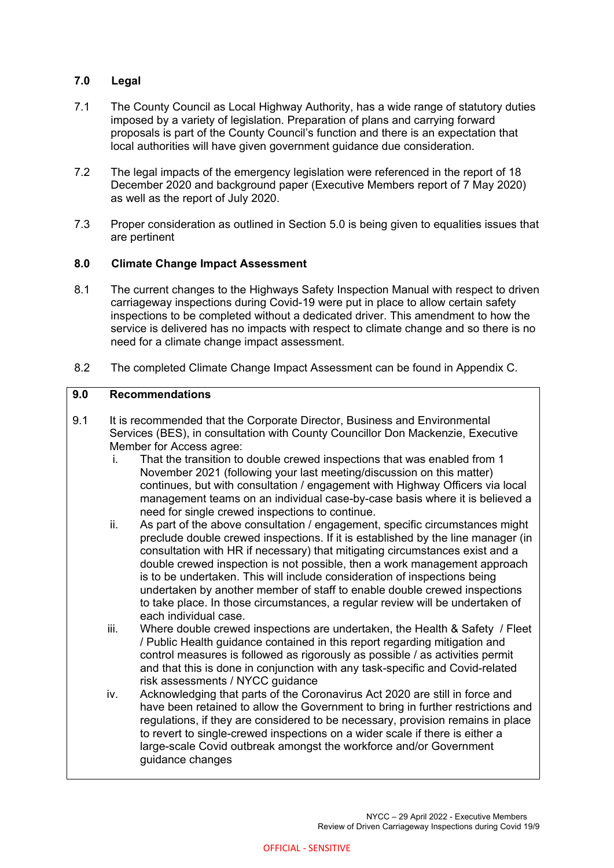# **7.0 Legal**

- 7.1 The County Council as Local Highway Authority, has a wide range of statutory duties imposed by a variety of legislation. Preparation of plans and carrying forward proposals is part of the County Council's function and there is an expectation that local authorities will have given government guidance due consideration.
- 7.2 The legal impacts of the emergency legislation were referenced in the report of 18 December 2020 and background paper (Executive Members report of 7 May 2020) as well as the report of July 2020.
- 7.3 Proper consideration as outlined in Section 5.0 is being given to equalities issues that are pertinent

## **8.0 Climate Change Impact Assessment**

- 8.1 The current changes to the Highways Safety Inspection Manual with respect to driven carriageway inspections during Covid-19 were put in place to allow certain safety inspections to be completed without a dedicated driver. This amendment to how the service is delivered has no impacts with respect to climate change and so there is no need for a climate change impact assessment.
- 8.2 The completed Climate Change Impact Assessment can be found in Appendix C.

## **9.0 Recommendations**

- 9.1 It is recommended that the Corporate Director, Business and Environmental Services (BES), in consultation with County Councillor Don Mackenzie, Executive Member for Access agree:
	- i. That the transition to double crewed inspections that was enabled from 1 November 2021 (following your last meeting/discussion on this matter) continues, but with consultation / engagement with Highway Officers via local management teams on an individual case-by-case basis where it is believed a need for single crewed inspections to continue.
	- ii. As part of the above consultation / engagement, specific circumstances might preclude double crewed inspections. If it is established by the line manager (in consultation with HR if necessary) that mitigating circumstances exist and a double crewed inspection is not possible, then a work management approach is to be undertaken. This will include consideration of inspections being undertaken by another member of staff to enable double crewed inspections to take place. In those circumstances, a regular review will be undertaken of each individual case.
	- iii. Where double crewed inspections are undertaken, the Health & Safety / Fleet / Public Health guidance contained in this report regarding mitigation and control measures is followed as rigorously as possible / as activities permit and that this is done in conjunction with any task-specific and Covid-related risk assessments / NYCC guidance
	- iv. Acknowledging that parts of the Coronavirus Act 2020 are still in force and have been retained to allow the Government to bring in further restrictions and regulations, if they are considered to be necessary, provision remains in place to revert to single-crewed inspections on a wider scale if there is either a large-scale Covid outbreak amongst the workforce and/or Government guidance changes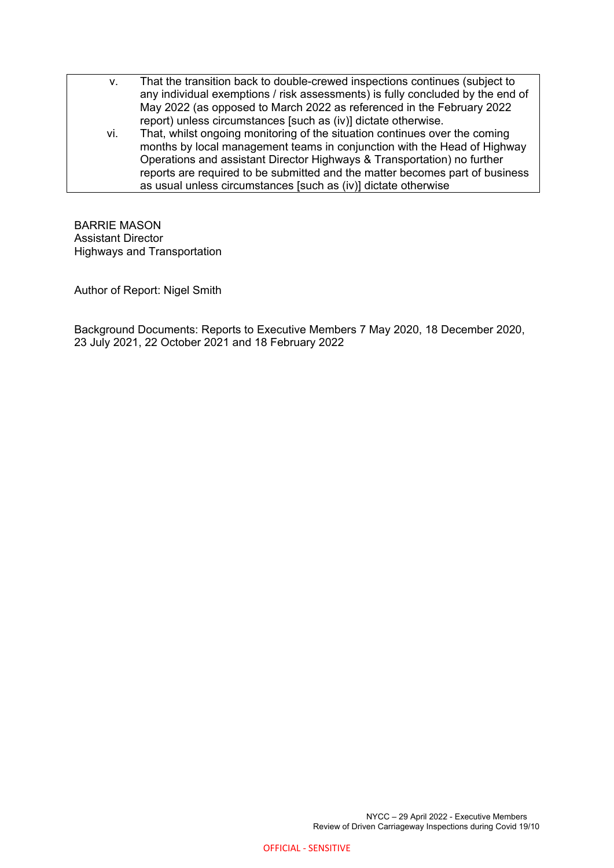- v. That the transition back to double-crewed inspections continues (subject to any individual exemptions / risk assessments) is fully concluded by the end of May 2022 (as opposed to March 2022 as referenced in the February 2022 report) unless circumstances [such as (iv)] dictate otherwise.
	- vi. That, whilst ongoing monitoring of the situation continues over the coming months by local management teams in conjunction with the Head of Highway Operations and assistant Director Highways & Transportation) no further reports are required to be submitted and the matter becomes part of business as usual unless circumstances [such as (iv)] dictate otherwise

BARRIE MASON Assistant Director Highways and Transportation

Author of Report: Nigel Smith

Background Documents: Reports to Executive Members 7 May 2020, 18 December 2020, 23 July 2021, 22 October 2021 and 18 February 2022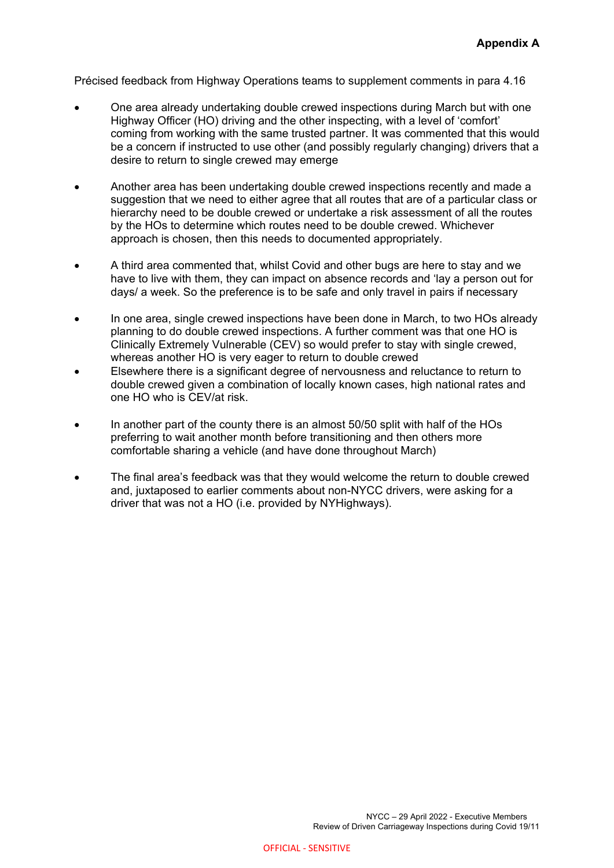Précised feedback from Highway Operations teams to supplement comments in para 4.16

- One area already undertaking double crewed inspections during March but with one Highway Officer (HO) driving and the other inspecting, with a level of 'comfort' coming from working with the same trusted partner. It was commented that this would be a concern if instructed to use other (and possibly regularly changing) drivers that a desire to return to single crewed may emerge
- Another area has been undertaking double crewed inspections recently and made a suggestion that we need to either agree that all routes that are of a particular class or hierarchy need to be double crewed or undertake a risk assessment of all the routes by the HOs to determine which routes need to be double crewed. Whichever approach is chosen, then this needs to documented appropriately.
- A third area commented that, whilst Covid and other bugs are here to stay and we have to live with them, they can impact on absence records and 'lay a person out for days/ a week. So the preference is to be safe and only travel in pairs if necessary
- In one area, single crewed inspections have been done in March, to two HOs already planning to do double crewed inspections. A further comment was that one HO is Clinically Extremely Vulnerable (CEV) so would prefer to stay with single crewed, whereas another HO is very eager to return to double crewed
- Elsewhere there is a significant degree of nervousness and reluctance to return to double crewed given a combination of locally known cases, high national rates and one HO who is CEV/at risk.
- In another part of the county there is an almost 50/50 split with half of the HOs preferring to wait another month before transitioning and then others more comfortable sharing a vehicle (and have done throughout March)
- The final area's feedback was that they would welcome the return to double crewed and, juxtaposed to earlier comments about non-NYCC drivers, were asking for a driver that was not a HO (i.e. provided by NYHighways).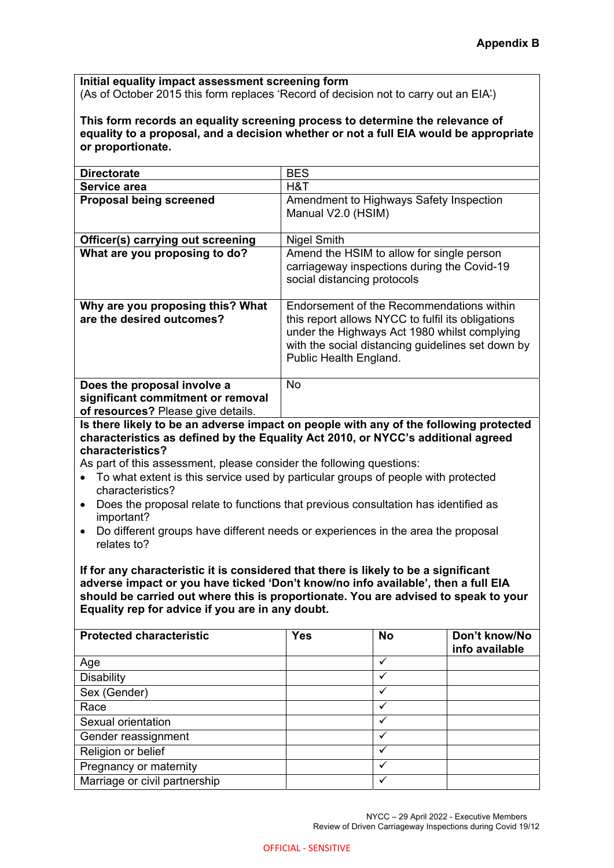**Initial equality impact assessment screening form**  (As of October 2015 this form replaces 'Record of decision not to carry out an EIA')

**This form records an equality screening process to determine the relevance of equality to a proposal, and a decision whether or not a full EIA would be appropriate or proportionate.** 

| <b>Directorate</b>                                                                                     | <b>BES</b>                                                                                                                                                                                                                    |  |  |  |
|--------------------------------------------------------------------------------------------------------|-------------------------------------------------------------------------------------------------------------------------------------------------------------------------------------------------------------------------------|--|--|--|
| Service area                                                                                           | H&T                                                                                                                                                                                                                           |  |  |  |
| <b>Proposal being screened</b>                                                                         | Amendment to Highways Safety Inspection<br>Manual V2.0 (HSIM)                                                                                                                                                                 |  |  |  |
| Officer(s) carrying out screening                                                                      | <b>Nigel Smith</b>                                                                                                                                                                                                            |  |  |  |
| What are you proposing to do?                                                                          | Amend the HSIM to allow for single person<br>carriageway inspections during the Covid-19<br>social distancing protocols                                                                                                       |  |  |  |
| Why are you proposing this? What<br>are the desired outcomes?                                          | Endorsement of the Recommendations within<br>this report allows NYCC to fulfil its obligations<br>under the Highways Act 1980 whilst complying<br>with the social distancing guidelines set down by<br>Public Health England. |  |  |  |
| Does the proposal involve a<br>significant commitment or removal<br>of resources? Please give details. | <b>No</b>                                                                                                                                                                                                                     |  |  |  |

**Is there likely to be an adverse impact on people with any of the following protected characteristics as defined by the Equality Act 2010, or NYCC's additional agreed characteristics?** 

As part of this assessment, please consider the following questions:

- To what extent is this service used by particular groups of people with protected characteristics?
- Does the proposal relate to functions that previous consultation has identified as important?
- Do different groups have different needs or experiences in the area the proposal relates to?

**If for any characteristic it is considered that there is likely to be a significant adverse impact or you have ticked 'Don't know/no info available', then a full EIA should be carried out where this is proportionate. You are advised to speak to your Equality rep for advice if you are in any doubt.** 

| <b>Protected characteristic</b> | <b>Yes</b> | <b>No</b>    | Don't know/No<br>info available |
|---------------------------------|------------|--------------|---------------------------------|
| Age                             |            | ✓            |                                 |
| <b>Disability</b>               |            |              |                                 |
| Sex (Gender)                    |            | $\checkmark$ |                                 |
| Race                            |            |              |                                 |
| Sexual orientation              |            |              |                                 |
| Gender reassignment             |            |              |                                 |
| Religion or belief              |            |              |                                 |
| Pregnancy or maternity          |            | $\checkmark$ |                                 |
| Marriage or civil partnership   |            |              |                                 |